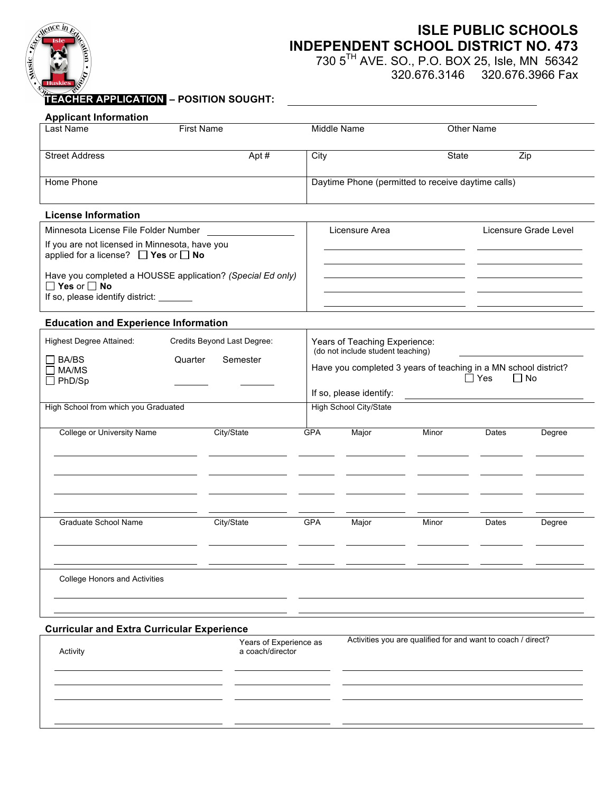

# **ISLE PUBLIC SCHOOLS INDEPENDENT SCHOOL DISTRICT NO. 473**

730 5TH AVE. SO., P.O. BOX 25, Isle, MN 56342

320.676.3146 320.676.3966 Fax

# **TEACHER APPLICATION. – POSITION SOUGHT:**

| <b>Applicant Information</b>                               |                             |             |                                                                    |            |                         |        |
|------------------------------------------------------------|-----------------------------|-------------|--------------------------------------------------------------------|------------|-------------------------|--------|
| Last Name<br><b>First Name</b>                             |                             | Middle Name |                                                                    | Other Name |                         |        |
|                                                            |                             |             |                                                                    |            |                         |        |
| <b>Street Address</b>                                      | Apt#                        | City        |                                                                    | State      | Zip                     |        |
|                                                            |                             |             |                                                                    |            |                         |        |
| Home Phone                                                 |                             |             | Daytime Phone (permitted to receive daytime calls)                 |            |                         |        |
|                                                            |                             |             |                                                                    |            |                         |        |
| <b>License Information</b>                                 |                             |             |                                                                    |            |                         |        |
| Minnesota License File Folder Number                       |                             |             | Licensure Area                                                     |            | Licensure Grade Level   |        |
| If you are not licensed in Minnesota, have you             |                             |             |                                                                    |            |                         |        |
| applied for a license? $\Box$ Yes or $\Box$ No             |                             |             |                                                                    |            |                         |        |
| Have you completed a HOUSSE application? (Special Ed only) |                             |             |                                                                    |            |                         |        |
| $\Box$ Yes or $\Box$ No                                    |                             |             |                                                                    |            |                         |        |
| If so, please identify district: _______                   |                             |             |                                                                    |            |                         |        |
| <b>Education and Experience Information</b>                |                             |             |                                                                    |            |                         |        |
|                                                            |                             |             |                                                                    |            |                         |        |
| Highest Degree Attained:                                   | Credits Beyond Last Degree: |             | Years of Teaching Experience:<br>(do not include student teaching) |            |                         |        |
| <b>BA/BS</b><br>$\mathsf{L}$<br>Quarter                    | Semester                    |             | Have you completed 3 years of teaching in a MN school district?    |            |                         |        |
| $\square$ MA/MS<br>$\Box$ PhD/Sp                           |                             |             |                                                                    |            | $\Box$ Yes<br>$\Box$ No |        |
|                                                            |                             |             | If so, please identify:                                            |            |                         |        |
| High School from which you Graduated                       |                             |             | High School City/State                                             |            |                         |        |
|                                                            |                             |             |                                                                    |            |                         |        |
| College or University Name                                 | City/State                  | <b>GPA</b>  | Major                                                              | Minor      | Dates                   | Degree |
|                                                            |                             |             |                                                                    |            |                         |        |
|                                                            |                             |             |                                                                    |            |                         |        |
|                                                            |                             |             |                                                                    |            |                         |        |
|                                                            |                             |             |                                                                    |            |                         |        |
|                                                            |                             |             |                                                                    |            |                         |        |
| <b>Graduate School Name</b>                                | City/State                  | <b>GPA</b>  | Major                                                              | Minor      | Dates                   | Degree |
|                                                            |                             |             |                                                                    |            |                         |        |
|                                                            |                             |             |                                                                    |            |                         |        |
|                                                            |                             |             |                                                                    |            |                         |        |
| <b>College Honors and Activities</b>                       |                             |             |                                                                    |            |                         |        |
|                                                            |                             |             |                                                                    |            |                         |        |
|                                                            |                             |             |                                                                    |            |                         |        |
|                                                            |                             |             |                                                                    |            |                         |        |
| <b>Curricular and Extra Curricular Experience</b>          |                             |             | Activities you are qualified for and want to coach / direct?       |            |                         |        |
| Years of Experience as<br>Activity<br>a coach/director     |                             |             |                                                                    |            |                         |        |
|                                                            |                             |             |                                                                    |            |                         |        |
|                                                            |                             |             |                                                                    |            |                         |        |
|                                                            |                             |             |                                                                    |            |                         |        |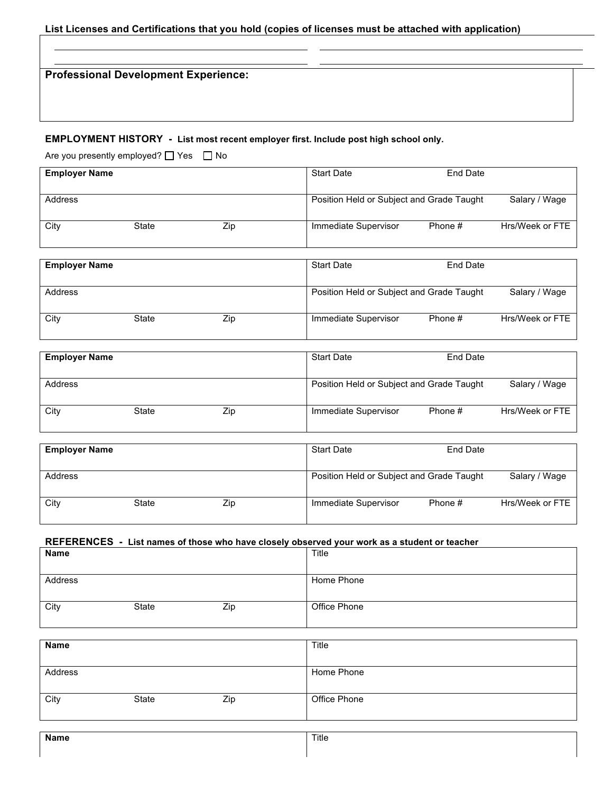# **List Licenses and Certifications that you hold (copies of licenses must be attached with application)**

**Professional Development Experience:**

### **EMPLOYMENT HISTORY - List most recent employer first. Include post high school only.**

Are you presently employed?  $\Box$  Yes  $\Box$  No

| <b>Employer Name</b> |       |     | <b>Start Date</b>                         | End Date |                 |
|----------------------|-------|-----|-------------------------------------------|----------|-----------------|
| Address              |       |     | Position Held or Subject and Grade Taught |          | Salary / Wage   |
| City                 | State | Zip | Immediate Supervisor                      | Phone #  | Hrs/Week or FTE |

| <b>Employer Name</b> |       |     | <b>Start Date</b>                         | End Date |                 |
|----------------------|-------|-----|-------------------------------------------|----------|-----------------|
| Address              |       |     | Position Held or Subject and Grade Taught |          | Salary / Wage   |
| City                 | State | Zip | Immediate Supervisor                      | Phone #  | Hrs/Week or FTE |

| <b>Employer Name</b> |       |     | <b>Start Date</b>                         | End Date |                 |
|----------------------|-------|-----|-------------------------------------------|----------|-----------------|
| Address              |       |     | Position Held or Subject and Grade Taught |          | Salary / Wage   |
| City                 | State | Zip | Immediate Supervisor                      | Phone #  | Hrs/Week or FTE |

| <b>Employer Name</b> |       |     | <b>Start Date</b>    | End Date                                  |                 |
|----------------------|-------|-----|----------------------|-------------------------------------------|-----------------|
| Address              |       |     |                      | Position Held or Subject and Grade Taught | Salary / Wage   |
| City                 | State | Zip | Immediate Supervisor | Phone #                                   | Hrs/Week or FTE |

### **REFERENCES - List names of those who have closely observed your work as a student or teacher**

| Name    |       |     | Title        |
|---------|-------|-----|--------------|
| Address |       |     | Home Phone   |
| City    | State | Zip | Office Phone |

| <b>Name</b> |       |     | Title        |
|-------------|-------|-----|--------------|
|             |       |     |              |
| Address     |       |     | Home Phone   |
|             |       |     |              |
| City        | State | Zip | Office Phone |
|             |       |     |              |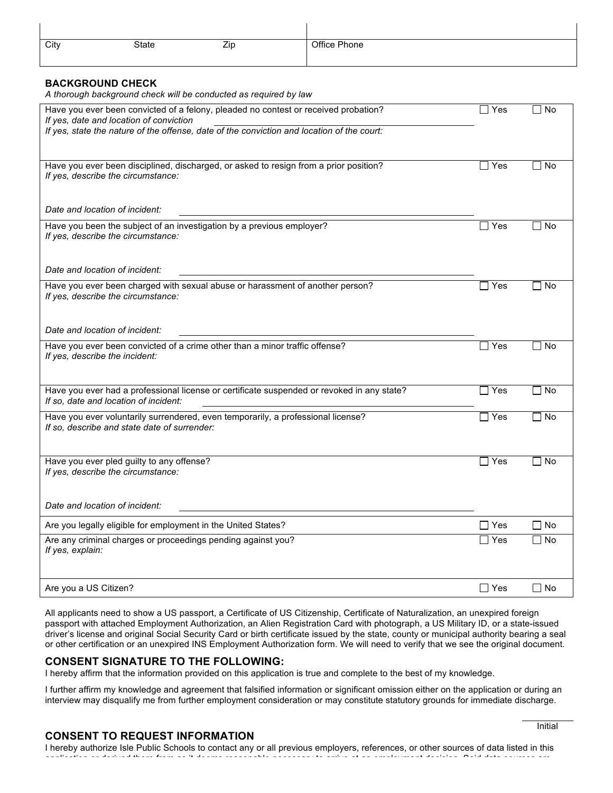| City | State | Zip | Office Phone |
|------|-------|-----|--------------|
|      |       |     |              |

#### **BACKGROUND CHECK**

 $\mathbf{I}$ 

*A thorough background check will be conducted as required by law*

| Have you ever been convicted of a felony, pleaded no contest or received probation?<br>If yes, date and location of conviction      | ∃ Yes                 | No        |
|-------------------------------------------------------------------------------------------------------------------------------------|-----------------------|-----------|
| If yes, state the nature of the offense, date of the conviction and location of the court:                                          |                       |           |
| Have you ever been disciplined, discharged, or asked to resign from a prior position?<br>If yes, describe the circumstance:         | Yes                   | □ No      |
| Date and location of incident:                                                                                                      |                       |           |
| Have you been the subject of an investigation by a previous employer?<br>If yes, describe the circumstance:                         | Yes                   | No        |
| Date and location of incident:                                                                                                      |                       |           |
| Have you ever been charged with sexual abuse or harassment of another person?<br>If yes, describe the circumstance:                 | $\exists$ Yes         | No        |
| Date and location of incident:                                                                                                      |                       |           |
| Have you ever been convicted of a crime other than a minor traffic offense?<br>If yes, describe the incident:                       | $\Box$ Yes            | No<br>l 1 |
| Have you ever had a professional license or certificate suspended or revoked in any state?<br>If so, date and location of incident: | $\exists$ Yes         | $\Box$ No |
| Have you ever voluntarily surrendered, even temporarily, a professional license?<br>If so, describe and state date of surrender:    | $\Box$ Yes            | $\Box$ No |
| Have you ever pled guilty to any offense?<br>If yes, describe the circumstance:                                                     | $\Box$ Yes            | l No      |
| Date and location of incident:                                                                                                      |                       |           |
| Are you legally eligible for employment in the United States?                                                                       | $\Box$ Yes            | $\Box$ No |
| Are any criminal charges or proceedings pending against you?<br>If yes, explain:                                                    | Yes<br>$\blacksquare$ | l No      |
| Are you a US Citizen?                                                                                                               | $\Box$ Yes            | l No      |

All applicants need to show a US passport, a Certificate of US Citizenship, Certificate of Naturalization, an unexpired foreign passport with attached Employment Authorization, an Alien Registration Card with photograph, a US Military ID, or a state-issued driver's license and original Social Security Card or birth certificate issued by the state, county or municipal authority bearing a seal or other certification or an unexpired INS Employment Authorization form. We will need to verify that we see the original document.

#### **CONSENT SIGNATURE TO THE FOLLOWING:**

I hereby affirm that the information provided on this application is true and complete to the best of my knowledge.

I further affirm my knowledge and agreement that falsified information or significant omission either on the application or during an interview may disqualify me from further employment consideration or may constitute statutory grounds for immediate discharge.

#### **CONSENT TO REQUEST INFORMATION**

I hereby authorize Isle Public Schools to contact any or all previous employers, references, or other sources of data listed in this application or derived there from as it deems reasonable necessary to arrive at an employment decision. Said data sources are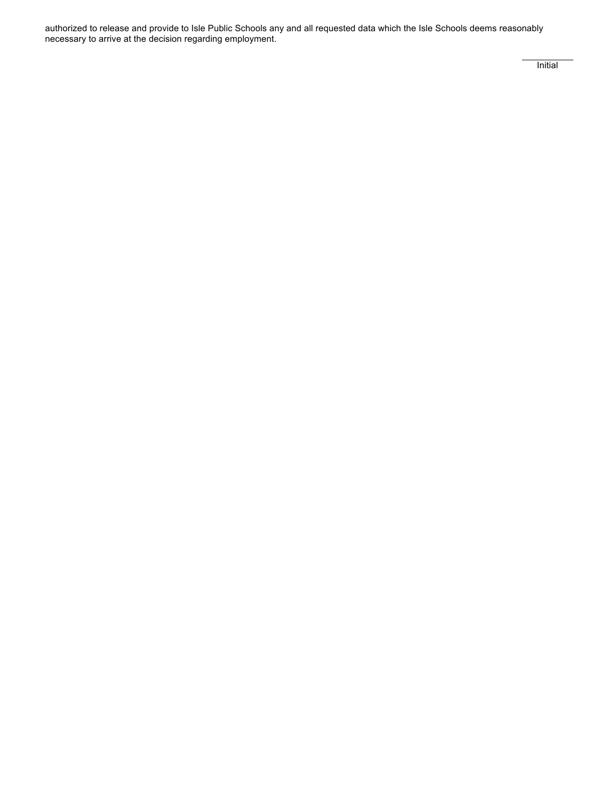authorized to release and provide to Isle Public Schools any and all requested data which the Isle Schools deems reasonably necessary to arrive at the decision regarding employment.

Initial